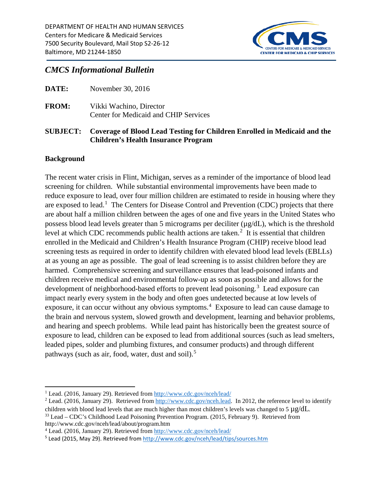

# *CMCS Informational Bulletin*

|              | SUBJECT: Coverage of Blood Lead Testing for Children Enrolled in Medicaid and the<br><b>Children's Health Insurance Program</b> |
|--------------|---------------------------------------------------------------------------------------------------------------------------------|
| <b>FROM:</b> | Vikki Wachino, Director<br>Center for Medicaid and CHIP Services                                                                |
| DATE:        | November 30, 2016                                                                                                               |

#### **Background**

The recent water crisis in Flint, Michigan, serves as a reminder of the importance of blood lead screening for children. While substantial environmental improvements have been made to reduce exposure to lead, over four million children are estimated to reside in housing where they are exposed to lead.<sup>[1](#page-0-0)</sup> The Centers for Disease Control and Prevention (CDC) projects that there are about half a million children between the ages of one and five years in the United States who possess blood lead levels greater than 5 micrograms per deciliter (µg/dL), which is the threshold level at which CDC recommends public health actions are taken. $<sup>2</sup>$  $<sup>2</sup>$  $<sup>2</sup>$  It is essential that children</sup> enrolled in the Medicaid and Children's Health Insurance Program (CHIP) receive blood lead screening tests as required in order to identify children with elevated blood lead levels (EBLLs) at as young an age as possible. The goal of lead screening is to assist children before they are harmed. Comprehensive screening and surveillance ensures that lead-poisoned infants and children receive medical and environmental follow-up as soon as possible and allows for the development of neighborhood-based efforts to prevent lead poisoning.<sup>[3](#page-0-2)</sup> Lead exposure can impact nearly every system in the body and often goes undetected because at low levels of exposure, it can occur without any obvious symptoms.<sup>[4](#page-0-3)</sup> Exposure to lead can cause damage to the brain and nervous system, slowed growth and development, learning and behavior problems, and hearing and speech problems. While lead paint has historically been the greatest source of exposure to lead, children can be exposed to lead from additional sources (such as lead smelters, leaded pipes, solder and plumbing fixtures, and consumer products) and through different pathways (such as air, food, water, dust and soil).<sup>[5](#page-0-4)</sup>

<span id="page-0-1"></span><sup>2</sup> Lead. (2016, January 29). Retrieved from [http://www.cdc.gov/nceh.lead.](http://www.cdc.gov/nceh.lead) In 2012, the reference level to identify children with blood lead levels that are much higher than most children's levels was changed to 5  $\mu$ g/dL.<br><sup>33</sup> Lead – CDC's Childhood Lead Poisoning Prevention Program. (2015, February 9). Retrieved from

<span id="page-0-2"></span>http://www.cdc.gov/nceh/lead/about/program.htm

<span id="page-0-0"></span>l <sup>1</sup> Lead. (2016, January 29). Retrieved from<http://www.cdc.gov/nceh/lead/>

<span id="page-0-3"></span><sup>4</sup> Lead. (2016, January 29). Retrieved from<http://www.cdc.gov/nceh/lead/>

<span id="page-0-4"></span><sup>5</sup> Lead (2015, May 29). Retrieved from<http://www.cdc.gov/nceh/lead/tips/sources.htm>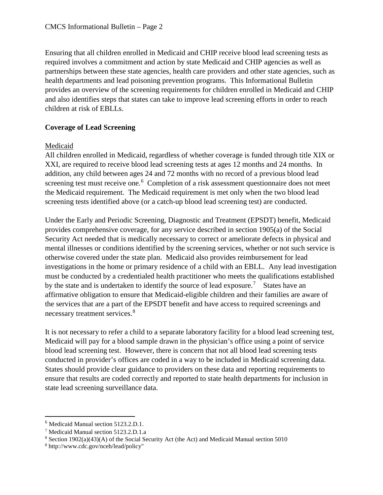Ensuring that all children enrolled in Medicaid and CHIP receive blood lead screening tests as required involves a commitment and action by state Medicaid and CHIP agencies as well as partnerships between these state agencies, health care providers and other state agencies, such as health departments and lead poisoning prevention programs. This Informational Bulletin provides an overview of the screening requirements for children enrolled in Medicaid and CHIP and also identifies steps that states can take to improve lead screening efforts in order to reach children at risk of EBLLs.

# **Coverage of Lead Screening**

### Medicaid

All children enrolled in Medicaid, regardless of whether coverage is funded through title XIX or XXI, are required to receive blood lead screening tests at ages 12 months and 24 months. In addition, any child between ages 24 and 72 months with no record of a previous blood lead screening test must receive one.<sup>[6](#page-1-0)</sup> Completion of a risk assessment questionnaire does not meet the Medicaid requirement. The Medicaid requirement is met only when the two blood lead screening tests identified above (or a catch-up blood lead screening test) are conducted.

Under the Early and Periodic Screening, Diagnostic and Treatment (EPSDT) benefit, Medicaid provides comprehensive coverage, for any service described in section 1905(a) of the Social Security Act needed that is medically necessary to correct or ameliorate defects in physical and mental illnesses or conditions identified by the screening services, whether or not such service is otherwise covered under the state plan. Medicaid also provides reimbursement for lead investigations in the home or primary residence of a child with an EBLL. Any lead investigation must be conducted by a credentialed health practitioner who meets the qualifications established by the state and is undertaken to identify the source of lead exposure.<sup>[7](#page-1-1)</sup> States have an affirmative obligation to ensure that Medicaid-eligible children and their families are aware of the services that are a part of the EPSDT benefit and have access to required screenings and necessary treatment services.<sup>[8](#page-1-2)</sup>

It is not necessary to refer a child to a separate laboratory facility for a blood lead screening test, Medicaid will pay for a blood sample drawn in the physician's office using a point of service blood lead screening test. However, there is concern that not all blood lead screening tests conducted in provider's offices are coded in a way to be included in Medicaid screening data. States should provide clear guidance to providers on these data and reporting requirements to ensure that results are coded correctly and reported to state health departments for inclusion in state lead screening surveillance data.

l

<span id="page-1-0"></span><sup>6</sup> Medicaid Manual section 5123.2.D.1.

<span id="page-1-1"></span><sup>7</sup> Medicaid Manual section 5123.2.D.1.a

<span id="page-1-2"></span><sup>8</sup> Section 1902(a)(43)(A) of the Social Security Act (the Act) and Medicaid Manual section 5010

<sup>8</sup> http://www.cdc.gov/nceh/lead/policy"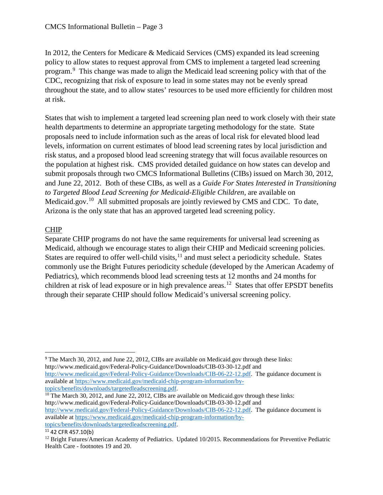In 2012, the Centers for Medicare & Medicaid Services (CMS) expanded its lead screening policy to allow states to request approval from CMS to implement a targeted lead screening program.<sup>[9](#page-2-0)</sup> This change was made to align the Medicaid lead screening policy with that of the CDC, recognizing that risk of exposure to lead in some states may not be evenly spread throughout the state, and to allow states' resources to be used more efficiently for children most at risk.

States that wish to implement a targeted lead screening plan need to work closely with their state health departments to determine an appropriate targeting methodology for the state. State proposals need to include information such as the areas of local risk for elevated blood lead levels, information on current estimates of blood lead screening rates by local jurisdiction and risk status, and a proposed blood lead screening strategy that will focus available resources on the population at highest risk. CMS provided detailed guidance on how states can develop and submit proposals through two CMCS Informational Bulletins (CIBs) issued on March 30, 2012, and June 22, 2012. Both of these CIBs, as well as a *Guide For States Interested in Transitioning to Targeted Blood Lead Screening for Medicaid-Eligible Children,* are available on Medicaid.gov.<sup>[10](#page-2-1)</sup> All submitted proposals are jointly reviewed by CMS and CDC. To date, Arizona is the only state that has an approved targeted lead screening policy.

# CHIP

Separate CHIP programs do not have the same requirements for universal lead screening as Medicaid, although we encourage states to align their CHIP and Medicaid screening policies. States are required to offer well-child visits, $11$  and must select a periodicity schedule. States commonly use the Bright Futures periodicity schedule (developed by the American Academy of Pediatrics), which recommends blood lead screening tests at 12 months and 24 months for children at risk of lead exposure or in high prevalence areas.<sup>[12](#page-2-3)</sup> States that offer EPSDT benefits through their separate CHIP should follow Medicaid's universal screening policy.

<span id="page-2-0"></span> 9 The March 30, 2012, and June 22, 2012, CIBs are available on Medicaid.gov through these links: http://www.medicaid.gov/Federal-Policy-Guidance/Downloads/CIB-03-30-12.pdf and [http://www.medicaid.gov/Federal-Policy-Guidance/Downloads/CIB-06-22-12.pdf.](http://www.medicaid.gov/Federal-Policy-Guidance/Downloads/CIB-06-22-12.pdf) The guidance document is available at [https://www.medicaid.gov/medicaid-chip-program-information/by-](https://www.medicaid.gov/medicaid-chip-program-information/by-topics/benefits/downloads/targetedleadscreening.pdf)

<span id="page-2-1"></span>[topics/benefits/downloads/targetedleadscreening.pdf.](https://www.medicaid.gov/medicaid-chip-program-information/by-topics/benefits/downloads/targetedleadscreening.pdf) <sup>10</sup> The March 30, 2012, and June 22, 2012, CIBs are available on Medicaid.gov through these links: http://www.medicaid.gov/Federal-Policy-Guidance/Downloads/CIB-03-30-12.pdf and

[http://www.medicaid.gov/Federal-Policy-Guidance/Downloads/CIB-06-22-12.pdf.](http://www.medicaid.gov/Federal-Policy-Guidance/Downloads/CIB-06-22-12.pdf) The guidance document is available at [https://www.medicaid.gov/medicaid-chip-program-information/by-](https://www.medicaid.gov/medicaid-chip-program-information/by-topics/benefits/downloads/targetedleadscreening.pdf)

[topics/benefits/downloads/targetedleadscreening.pdf.](https://www.medicaid.gov/medicaid-chip-program-information/by-topics/benefits/downloads/targetedleadscreening.pdf)

<span id="page-2-2"></span> $11$  42 CFR 457.10(b)

<span id="page-2-3"></span> $12$  Bright Futures/American Academy of Pediatrics. Updated  $10/2015$ . Recommendations for Preventive Pediatric Health Care - footnotes 19 and 20.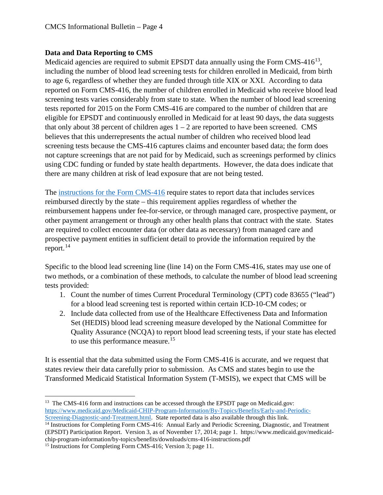# **Data and Data Reporting to CMS**

Medicaid agencies are required to submit EPSDT data annually using the Form  $CMS-416^{13}$ , including the number of blood lead screening tests for children enrolled in Medicaid, from birth to age 6, regardless of whether they are funded through title XIX or XXI. According to data reported on Form CMS-416, the number of children enrolled in Medicaid who receive blood lead screening tests varies considerably from state to state. When the number of blood lead screening tests reported for 2015 on the Form CMS-416 are compared to the number of children that are eligible for EPSDT and continuously enrolled in Medicaid for at least 90 days, the data suggests that only about 38 percent of children ages  $1 - 2$  are reported to have been screened. CMS believes that this underrepresents the actual number of children who received blood lead screening tests because the CMS-416 captures claims and encounter based data; the form does not capture screenings that are not paid for by Medicaid, such as screenings performed by clinics using CDC funding or funded by state health departments. However, the data does indicate that there are many children at risk of lead exposure that are not being tested.

The [instructions for the Form CMS-416](https://www.medicaid.gov/medicaid-chip-program-information/by-topics/benefits/downloads/cms-416-instructions.pdf) require states to report data that includes services reimbursed directly by the state – this requirement applies regardless of whether the reimbursement happens under fee-for-service, or through managed care, prospective payment, or other payment arrangement or through any other health plans that contract with the state. States are required to collect encounter data (or other data as necessary) from managed care and prospective payment entities in sufficient detail to provide the information required by the report. $^{14}$  $^{14}$  $^{14}$ 

Specific to the blood lead screening line (line 14) on the Form CMS-416, states may use one of two methods, or a combination of these methods, to calculate the number of blood lead screening tests provided:

- 1. Count the number of times Current Procedural Terminology (CPT) code 83655 ("lead") for a blood lead screening test is reported within certain ICD-10-CM codes; or
- 2. Include data collected from use of the Healthcare Effectiveness Data and Information Set (HEDIS) blood lead screening measure developed by the National Committee for Quality Assurance (NCQA) to report blood lead screening tests, if your state has elected to use this performance measure.<sup>[15](#page-3-2)</sup>

It is essential that the data submitted using the Form CMS-416 is accurate, and we request that states review their data carefully prior to submission. As CMS and states begin to use the Transformed Medicaid Statistical Information System (T-MSIS), we expect that CMS will be

<span id="page-3-0"></span> $\overline{a}$ <sup>13</sup> The CMS-416 form and instructions can be accessed through the EPSDT page on Medicaid.gov: [https://www.medicaid.gov/Medicaid-CHIP-Program-Information/By-Topics/Benefits/Early-and-Periodic-](https://www.medicaid.gov/Medicaid-CHIP-Program-Information/By-Topics/Benefits/Early-and-Periodic-Screening-Diagnostic-and-Treatment.html)[Screening-Diagnostic-and-Treatment.html.](https://www.medicaid.gov/Medicaid-CHIP-Program-Information/By-Topics/Benefits/Early-and-Periodic-Screening-Diagnostic-and-Treatment.html) State reported data is also available through this link.

<span id="page-3-1"></span><sup>&</sup>lt;sup>14</sup> Instructions for Completing Form CMS-416: Annual Early and Periodic Screening, Diagnostic, and Treatment (EPSDT) Participation Report. Version 3, as of November 17, 2014; page 1. https://www.medicaid.gov/medicaidchip-program-information/by-topics/benefits/downloads/cms-416-instructions.pdf

<span id="page-3-2"></span><sup>&</sup>lt;sup>15</sup> Instructions for Completing Form CMS-416; Version 3; page 11.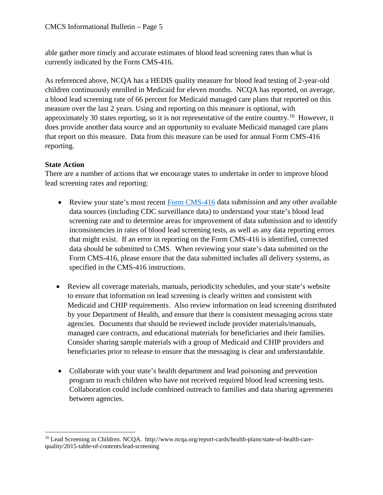able gather more timely and accurate estimates of blood lead screening rates than what is currently indicated by the Form CMS-416.

As referenced above, NCQA has a HEDIS quality measure for blood lead testing of 2-year-old children continuously enrolled in Medicaid for eleven months. NCQA has reported, on average, a blood lead screening rate of 66 percent for Medicaid managed care plans that reported on this measure over the last 2 years. Using and reporting on this measure is optional, with approximately 30 states reporting, so it is not representative of the entire country.[16](#page-4-0) However, it does provide another data source and an opportunity to evaluate Medicaid managed care plans that report on this measure. Data from this measure can be used for annual Form CMS-416 reporting.

# **State Action**

l

There are a number of actions that we encourage states to undertake in order to improve blood lead screening rates and reporting:

- Review your state's most recent [Form CMS-416](https://www.medicaid.gov/medicaid-chip-program-information/by-topics/benefits/downloads/fy-2015-epsdt-data.zip) data submission and any other available data sources (including CDC surveillance data) to understand your state's blood lead screening rate and to determine areas for improvement of data submission and to identify inconsistencies in rates of blood lead screening tests, as well as any data reporting errors that might exist. If an error in reporting on the Form CMS-416 is identified, corrected data should be submitted to CMS. When reviewing your state's data submitted on the Form CMS-416, please ensure that the data submitted includes all delivery systems, as specified in the CMS-416 instructions.
- Review all coverage materials, manuals, periodicity schedules, and your state's website to ensure that information on lead screening is clearly written and consistent with Medicaid and CHIP requirements. Also review information on lead screening distributed by your Department of Health, and ensure that there is consistent messaging across state agencies. Documents that should be reviewed include provider materials/manuals, managed care contracts, and educational materials for beneficiaries and their families. Consider sharing sample materials with a group of Medicaid and CHIP providers and beneficiaries prior to release to ensure that the messaging is clear and understandable.
- Collaborate with your state's health department and lead poisoning and prevention program to reach children who have not received required blood lead screening tests. Collaboration could include combined outreach to families and data sharing agreements between agencies.

<span id="page-4-0"></span><sup>16</sup> Lead Screening in Children. NCQA. http://www.ncqa.org/report-cards/health-plans/state-of-health-carequality/2015-table-of-contents/lead-screening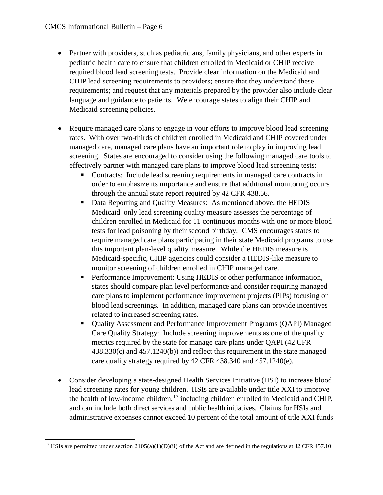$\overline{a}$ 

- Partner with providers, such as pediatricians, family physicians, and other experts in pediatric health care to ensure that children enrolled in Medicaid or CHIP receive required blood lead screening tests. Provide clear information on the Medicaid and CHIP lead screening requirements to providers; ensure that they understand these requirements; and request that any materials prepared by the provider also include clear language and guidance to patients. We encourage states to align their CHIP and Medicaid screening policies.
- Require managed care plans to engage in your efforts to improve blood lead screening rates. With over two-thirds of children enrolled in Medicaid and CHIP covered under managed care, managed care plans have an important role to play in improving lead screening. States are encouraged to consider using the following managed care tools to effectively partner with managed care plans to improve blood lead screening tests:
	- Contracts: Include lead screening requirements in managed care contracts in order to emphasize its importance and ensure that additional monitoring occurs through the annual state report required by 42 CFR 438.66.
	- Data Reporting and Quality Measures: As mentioned above, the HEDIS Medicaid–only lead screening quality measure assesses the percentage of children enrolled in Medicaid for 11 continuous months with one or more blood tests for lead poisoning by their second birthday. CMS encourages states to require managed care plans participating in their state Medicaid programs to use this important plan-level quality measure. While the HEDIS measure is Medicaid-specific, CHIP agencies could consider a HEDIS-like measure to monitor screening of children enrolled in CHIP managed care.
	- Performance Improvement: Using HEDIS or other performance information, states should compare plan level performance and consider requiring managed care plans to implement performance improvement projects (PIPs) focusing on blood lead screenings. In addition, managed care plans can provide incentives related to increased screening rates.
	- Quality Assessment and Performance Improvement Programs (QAPI) Managed Care Quality Strategy: Include screening improvements as one of the quality metrics required by the state for manage care plans under QAPI (42 CFR 438.330(c) and 457.1240(b)) and reflect this requirement in the state managed care quality strategy required by 42 CFR 438.340 and 457.1240(e).
- Consider developing a state-designed Health Services Initiative (HSI) to increase blood lead screening rates for young children. HSIs are available under title XXI to improve the health of low-income children, <sup>[17](#page-5-0)</sup> including children enrolled in Medicaid and CHIP, and can include both direct services and public health initiatives. Claims for HSIs and administrative expenses cannot exceed 10 percent of the total amount of title XXI funds

<span id="page-5-0"></span><sup>&</sup>lt;sup>17</sup> HSIs are permitted under section  $2105(a)(1)(D)(ii)$  of the Act and are defined in the regulations at 42 CFR 457.10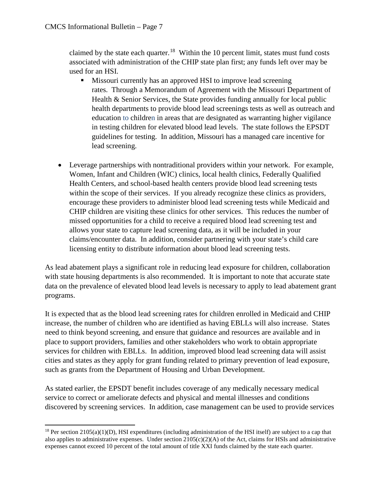claimed by the state each quarter.<sup>[18](#page-6-0)</sup> Within the 10 percent limit, states must fund costs associated with administration of the CHIP state plan first; any funds left over may be used for an HSI.

- Missouri currently has an approved HSI to improve lead screening rates. Through a Memorandum of Agreement with the Missouri Department of Health & Senior Services, the State provides funding annually for local public health departments to provide blood lead screenings tests as well as outreach and education to children in areas that are designated as warranting higher vigilance in testing children for elevated blood lead levels. The state follows the EPSDT guidelines for testing. In addition, Missouri has a managed care incentive for lead screening.
- Leverage partnerships with nontraditional providers within your network. For example, Women, Infant and Children (WIC) clinics, local health clinics, Federally Qualified Health Centers, and school-based health centers provide blood lead screening tests within the scope of their services. If you already recognize these clinics as providers, encourage these providers to administer blood lead screening tests while Medicaid and CHIP children are visiting these clinics for other services. This reduces the number of missed opportunities for a child to receive a required blood lead screening test and allows your state to capture lead screening data, as it will be included in your claims/encounter data. In addition, consider partnering with your state's child care licensing entity to distribute information about blood lead screening tests.

As lead abatement plays a significant role in reducing lead exposure for children, collaboration with state housing departments is also recommended. It is important to note that accurate state data on the prevalence of elevated blood lead levels is necessary to apply to lead abatement grant programs.

It is expected that as the blood lead screening rates for children enrolled in Medicaid and CHIP increase, the number of children who are identified as having EBLLs will also increase. States need to think beyond screening, and ensure that guidance and resources are available and in place to support providers, families and other stakeholders who work to obtain appropriate services for children with EBLLs. In addition, improved blood lead screening data will assist cities and states as they apply for grant funding related to primary prevention of lead exposure, such as grants from the Department of Housing and Urban Development.

As stated earlier, the EPSDT benefit includes coverage of any medically necessary medical service to correct or ameliorate defects and physical and mental illnesses and conditions discovered by screening services. In addition, case management can be used to provide services

<span id="page-6-0"></span> $\overline{\phantom{a}}$ <sup>18</sup> Per section 2105(a)(1)(D), HSI expenditures (including administration of the HSI itself) are subject to a cap that also applies to administrative expenses. Under section  $2105(c)(2)(A)$  of the Act, claims for HSIs and administrative expenses cannot exceed 10 percent of the total amount of title XXI funds claimed by the state each quarter.